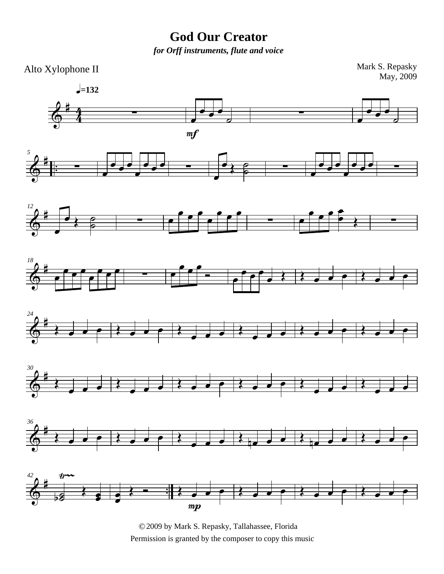## **God Our Creator**

*for Orff instruments, flute and voice*